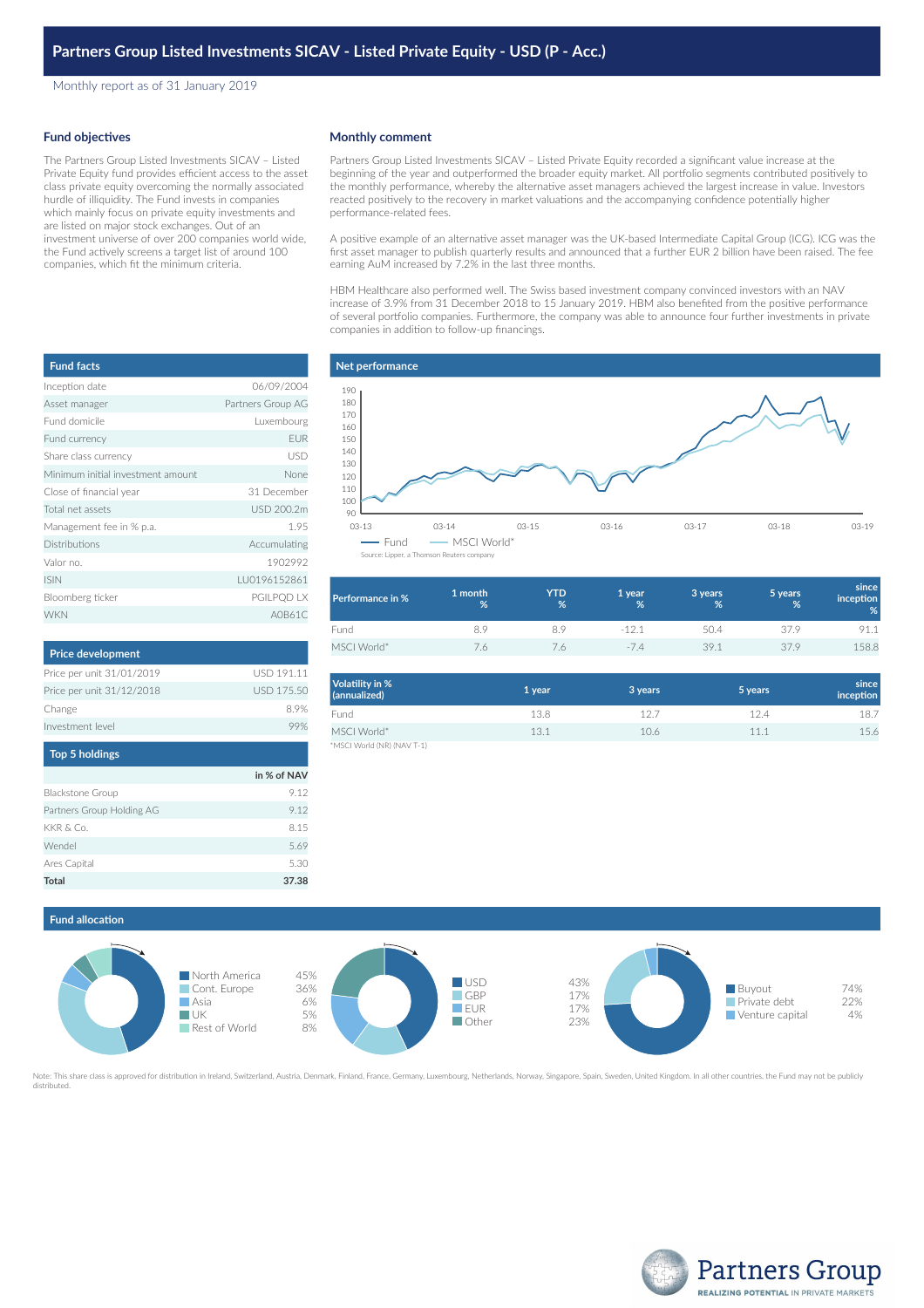Monthly report as of 31 January 2019

## **Fund objectives**

The Partners Group Listed Investments SICAV – Listed Private Equity fund provides efficient access to the asset class private equity overcoming the normally associated hurdle of illiquidity. The Fund invests in companies which mainly focus on private equity investments and are listed on major stock exchanges. Out of an investment universe of over 200 companies world wide, the Fund actively screens a target list of around 100 companies, which fit the minimum criteria.

| <b>Fund facts</b>                 |                   |
|-----------------------------------|-------------------|
| Inception date                    | 06/09/2004        |
| Asset manager                     | Partners Group AG |
| Fund domicile                     | Luxembourg        |
| Fund currency                     | <b>EUR</b>        |
| Share class currency              | USD               |
| Minimum initial investment amount | None              |
| Close of financial year           | 31 December       |
| Total net assets                  | USD 200.2m        |
| Management fee in % p.a.          | 1.95              |
| <b>Distributions</b>              | Accumulating      |
| Valor no.                         | 1902992           |
| <b>ISIN</b>                       | LU0196152861      |
| Bloomberg ticker                  | PGILPQD LX        |
| <b>WKN</b>                        | A0B61C            |

| <b>Price development</b>  |                   |
|---------------------------|-------------------|
| Price per unit 31/01/2019 | USD 191.11        |
| Price per unit 31/12/2018 | <b>USD 175.50</b> |
| Change                    | 89%               |
| Investment level          |                   |

| <b>Top 5 holdings</b>     |             |  |
|---------------------------|-------------|--|
|                           | in % of NAV |  |
| <b>Blackstone Group</b>   | 9.12        |  |
| Partners Group Holding AG | 9.12        |  |
| KKR & Co.                 | 8.15        |  |
| Wendel                    | 5.69        |  |
| Ares Capital              | 5.30        |  |
| <b>Total</b>              | 37.38       |  |

#### **Monthly comment**

Partners Group Listed Investments SICAV – Listed Private Equity recorded a significant value increase at the beginning of the year and outperformed the broader equity market. All portfolio segments contributed positively to the monthly performance, whereby the alternative asset managers achieved the largest increase in value. Investors reacted positively to the recovery in market valuations and the accompanying confidence potentially higher performance-related fees.

A positive example of an alternative asset manager was the UK-based Intermediate Capital Group (ICG). ICG was the first asset manager to publish quarterly results and announced that a further EUR 2 billion have been raised. The fee earning AuM increased by 7.2% in the last three months.

HBM Healthcare also performed well. The Swiss based investment company convinced investors with an NAV increase of 3.9% from 31 December 2018 to 15 January 2019. HBM also benefited from the positive performance of several portfolio companies. Furthermore, the company was able to announce four further investments in private companies in addition to follow-up financings.

# **Net performance**



| Performance in % | 1 month<br>% | YTD<br>% | 1 year<br>% | 3 years<br>% | 5 years<br>% | since<br>inception<br>% |
|------------------|--------------|----------|-------------|--------------|--------------|-------------------------|
| Fund             | 8.9          |          | $-121$      | 50.4         | 37.9         | 91.1                    |
| MSCI World*      | 7.6          |          | $-74$       | 39.1         | 379          | 158.8                   |

| Volatility in %<br>(annualized) | 1 year | 3 years | 5 years | since<br>inception |
|---------------------------------|--------|---------|---------|--------------------|
| Fund                            | 13.8   | 127     | 12.4    | 18.7               |
| MSCI World*                     | 13.1   | 10.6    | 11.1    | 15.6               |
| *MSCI World (NR) (NAV T-1)      |        |         |         |                    |

**Fund allocation**



Note: This share class is approved for distribution in Ireland, Switzerland, Austria, Denmark, Finland, France, Germany, Luxembourg, Netherlands, Norway, Singapore, Spain, Sweden, United Kingdom. In all other countries, th distributed